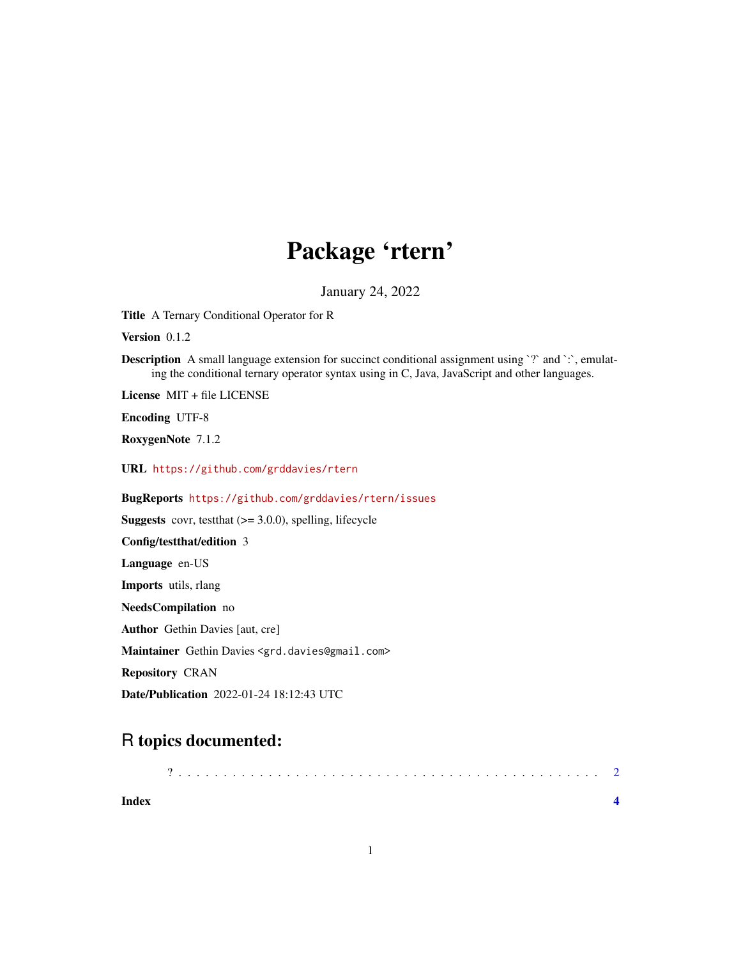## Package 'rtern'

January 24, 2022

<span id="page-0-0"></span>Title A Ternary Conditional Operator for R

Version 0.1.2

Description A small language extension for succinct conditional assignment using `?` and `:`, emulating the conditional ternary operator syntax using in C, Java, JavaScript and other languages.

License MIT + file LICENSE

Encoding UTF-8

RoxygenNote 7.1.2

URL <https://github.com/grddavies/rtern>

BugReports <https://github.com/grddavies/rtern/issues>

**Suggests** covr, test that  $(>= 3.0.0)$ , spelling, lifecycle

Config/testthat/edition 3

Language en-US

Imports utils, rlang

NeedsCompilation no

Author Gethin Davies [aut, cre]

Maintainer Gethin Davies <grd.davies@gmail.com>

Repository CRAN

Date/Publication 2022-01-24 18:12:43 UTC

### R topics documented:

| <b>Index</b> |  |  |  |  |  |  |  |  |  |  |  |  |  |  |  |  |  |  |  |  |  |  |
|--------------|--|--|--|--|--|--|--|--|--|--|--|--|--|--|--|--|--|--|--|--|--|--|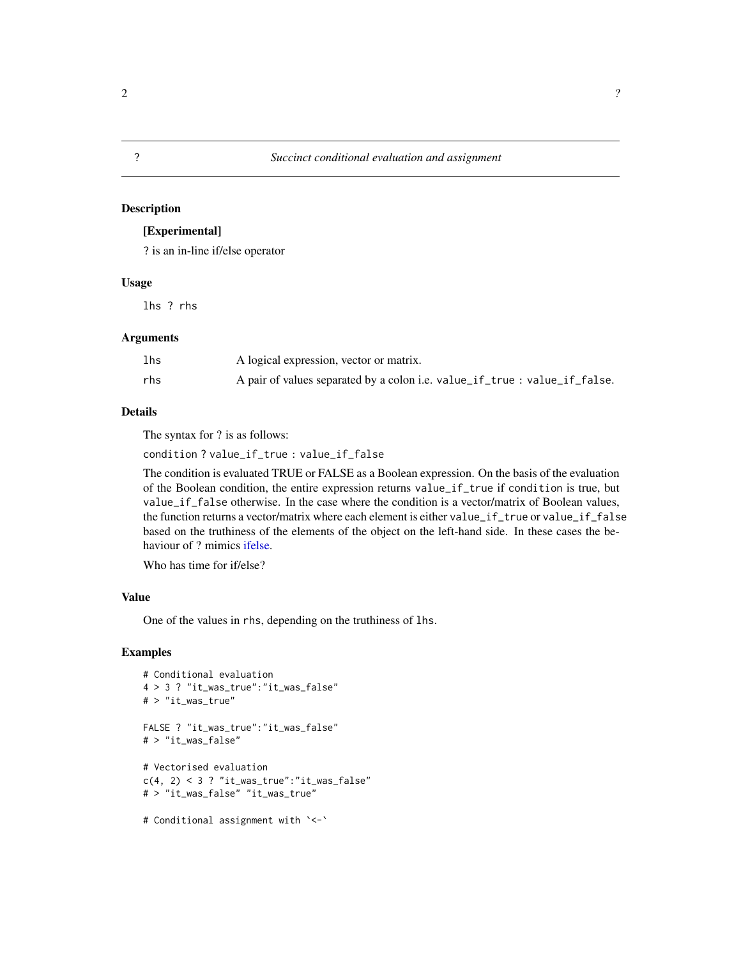#### <span id="page-1-0"></span>Description

#### [Experimental]

? is an in-line if/else operator

#### Usage

lhs ? rhs

#### Arguments

| lhs | A logical expression, vector or matrix.                                    |
|-----|----------------------------------------------------------------------------|
| rhs | A pair of values separated by a colon i.e. value_if_true : value_if_false. |

#### Details

The syntax for ? is as follows:

condition ? value\_if\_true : value\_if\_false

The condition is evaluated TRUE or FALSE as a Boolean expression. On the basis of the evaluation of the Boolean condition, the entire expression returns value\_if\_true if condition is true, but value\_if\_false otherwise. In the case where the condition is a vector/matrix of Boolean values, the function returns a vector/matrix where each element is either value\_if\_true or value\_if\_false based on the truthiness of the elements of the object on the left-hand side. In these cases the behaviour of ? mimics [ifelse.](#page-0-0)

Who has time for if/else?

#### Value

One of the values in rhs, depending on the truthiness of lhs.

#### Examples

```
# Conditional evaluation
4 > 3 ? "it_was_true":"it_was_false"
# > "it_was_true"
FALSE ? "it_was_true":"it_was_false"
# > "it_was_false"
# Vectorised evaluation
c(4, 2) < 3 ? "it_was_true":"it_was_false"
# > "it_was_false" "it_was_true"
# Conditional assignment with `<-`
```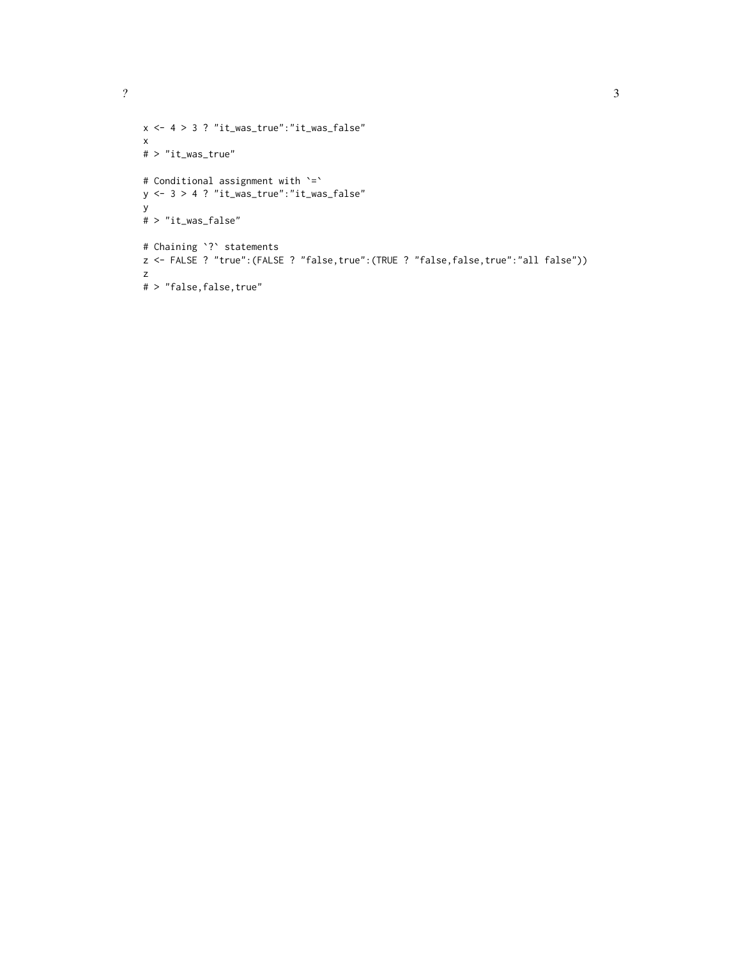```
x <- 4 > 3 ? "it_was_true":"it_was_false"
x
# > "it_was_true"
# Conditional assignment with `=`
y \le -3 > 4 ? "it_was_true":"it_was_false"
y
# > "it_was_false"
# Chaining `?` statements
z <- FALSE ? "true":(FALSE ? "false,true":(TRUE ? "false,false,true":"all false"))
z
# > "false, false, true"
```
<sup>2</sup> 3